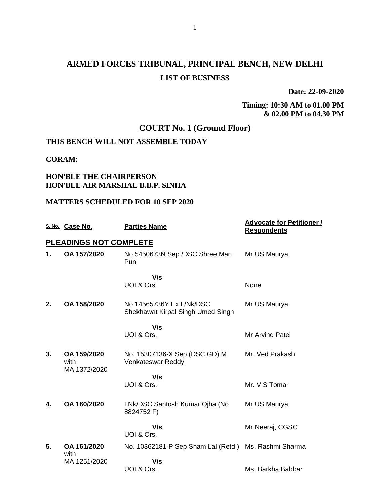# **ARMED FORCES TRIBUNAL, PRINCIPAL BENCH, NEW DELHI LIST OF BUSINESS**

**Date: 22-09-2020**

**Timing: 10:30 AM to 01.00 PM & 02.00 PM to 04.30 PM**

# **COURT No. 1 (Ground Floor)**

# **THIS BENCH WILL NOT ASSEMBLE TODAY**

#### **CORAM:**

#### **HON'BLE THE CHAIRPERSON HON'BLE AIR MARSHAL B.B.P. SINHA**

#### **MATTERS SCHEDULED FOR 10 SEP 2020**

|    | S. No. Case No.                     | <b>Parties Name</b>                                           | <b>Advocate for Petitioner /</b><br><b>Respondents</b> |
|----|-------------------------------------|---------------------------------------------------------------|--------------------------------------------------------|
|    | <b>PLEADINGS NOT COMPLETE</b>       |                                                               |                                                        |
| 1. | OA 157/2020                         | No 5450673N Sep /DSC Shree Man<br>Pun                         | Mr US Maurya                                           |
|    |                                     | V/s<br>UOI & Ors.                                             | None                                                   |
| 2. | OA 158/2020                         | No 14565736Y Ex L/Nk/DSC<br>Shekhawat Kirpal Singh Umed Singh | Mr US Maurya                                           |
|    |                                     | V/s                                                           |                                                        |
|    |                                     | UOI & Ors.                                                    | <b>Mr Arvind Patel</b>                                 |
| 3. | OA 159/2020<br>with<br>MA 1372/2020 | No. 15307136-X Sep (DSC GD) M<br>Venkateswar Reddy            | Mr. Ved Prakash                                        |
|    |                                     | V/s                                                           |                                                        |
|    |                                     | UOI & Ors.                                                    | Mr. V S Tomar                                          |
| 4. | OA 160/2020                         | LNk/DSC Santosh Kumar Ojha (No<br>8824752 F)                  | Mr US Maurya                                           |
|    |                                     | V/s<br>UOI & Ors.                                             | Mr Neeraj, CGSC                                        |
| 5. | OA 161/2020<br>with                 | No. 10362181-P Sep Sham Lal (Retd.)                           | Ms. Rashmi Sharma                                      |
|    | MA 1251/2020                        | V/s                                                           |                                                        |
|    |                                     | UOI & Ors.                                                    | Ms. Barkha Babbar                                      |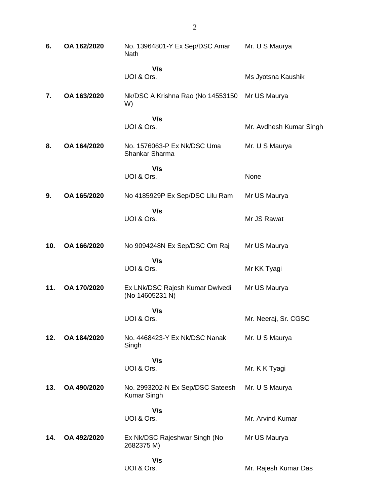| 6.  | OA 162/2020 | No. 13964801-Y Ex Sep/DSC Amar<br><b>Nath</b>      | Mr. U S Maurya          |
|-----|-------------|----------------------------------------------------|-------------------------|
|     |             | V/s<br>UOI & Ors.                                  | Ms Jyotsna Kaushik      |
| 7.  | OA 163/2020 | Nk/DSC A Krishna Rao (No 14553150<br>W)            | Mr US Maurya            |
|     |             | V/s<br>UOI & Ors.                                  | Mr. Avdhesh Kumar Singh |
| 8.  | OA 164/2020 | No. 1576063-P Ex Nk/DSC Uma<br>Shankar Sharma      | Mr. U S Maurya          |
|     |             | V/s<br>UOI & Ors.                                  | None                    |
| 9.  | OA 165/2020 | No 4185929P Ex Sep/DSC Lilu Ram                    | Mr US Maurya            |
|     |             | V/s<br>UOI & Ors.                                  | Mr JS Rawat             |
| 10. | OA 166/2020 | No 9094248N Ex Sep/DSC Om Raj                      | Mr US Maurya            |
|     |             | V/s<br>UOI & Ors.                                  | Mr KK Tyagi             |
| 11. | OA 170/2020 | Ex LNk/DSC Rajesh Kumar Dwivedi<br>(No 14605231 N) | Mr US Maurya            |
|     |             | V/s<br>UOI & Ors.                                  | Mr. Neeraj, Sr. CGSC    |
| 12. | OA 184/2020 | No. 4468423-Y Ex Nk/DSC Nanak<br>Singh             | Mr. U S Maurya          |
|     |             | V/s<br>UOI & Ors.                                  | Mr. K K Tyagi           |
| 13. | OA 490/2020 | No. 2993202-N Ex Sep/DSC Sateesh<br>Kumar Singh    | Mr. U S Maurya          |
|     |             | V/s<br>UOI & Ors.                                  | Mr. Arvind Kumar        |
| 14. | OA 492/2020 | Ex Nk/DSC Rajeshwar Singh (No<br>2682375 M)        | Mr US Maurya            |
|     |             | V/s<br>UOI & Ors.                                  | Mr. Rajesh Kumar Das    |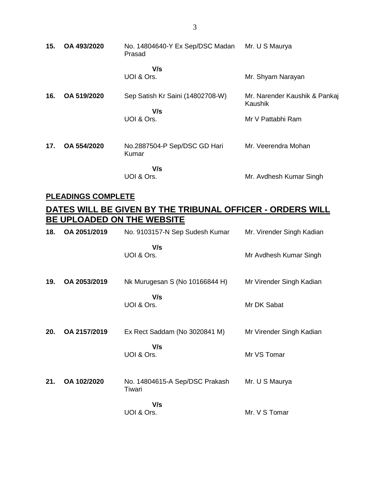| 15. | OA 493/2020 | No. 14804640-Y Ex Sep/DSC Madan<br>Prasad             | Mr. U S Maurya                                                |
|-----|-------------|-------------------------------------------------------|---------------------------------------------------------------|
|     |             | V/s<br>UOI & Ors.                                     | Mr. Shyam Narayan                                             |
| 16. | OA 519/2020 | Sep Satish Kr Saini (14802708-W)<br>V/s<br>UOI & Ors. | Mr. Narender Kaushik & Pankaj<br>Kaushik<br>Mr V Pattabhi Ram |
| 17. | OA 554/2020 | No.2887504-P Sep/DSC GD Hari<br>Kumar                 | Mr. Veerendra Mohan                                           |
|     |             | V/s<br>UOI & Ors.                                     | Mr. Avdhesh Kumar Singh                                       |

### **PLEADINGS COMPLETE**

# **DATES WILL BE GIVEN BY THE TRIBUNAL OFFICER - ORDERS WILL BE UPLOADED ON THE WEBSITE**

| 18. | OA 2051/2019 | No. 9103157-N Sep Sudesh Kumar           | Mr. Virender Singh Kadian |
|-----|--------------|------------------------------------------|---------------------------|
|     |              | V/s<br>UOI & Ors.                        | Mr Avdhesh Kumar Singh    |
| 19. | OA 2053/2019 | Nk Murugesan S (No 10166844 H)           | Mr Virender Singh Kadian  |
|     |              | V/s<br>UOI & Ors.                        | Mr DK Sabat               |
| 20. | OA 2157/2019 | Ex Rect Saddam (No 3020841 M)            | Mr Virender Singh Kadian  |
|     |              | V/s<br>UOI & Ors.                        | Mr VS Tomar               |
| 21. | OA 102/2020  | No. 14804615-A Sep/DSC Prakash<br>Tiwari | Mr. U S Maurya            |
|     |              | V/s<br>UOI & Ors.                        | Mr. V S Tomar             |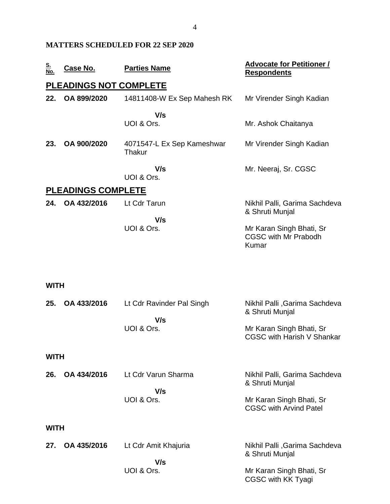### **MATTERS SCHEDULED FOR 22 SEP 2020**

| <u>S.</u><br>No. | <u>Case No.</u>               | <b>Parties Name</b>                  | <b>Advocate for Petitioner /</b><br><b>Respondents</b>           |
|------------------|-------------------------------|--------------------------------------|------------------------------------------------------------------|
|                  | <b>PLEADINGS NOT COMPLETE</b> |                                      |                                                                  |
| 22.              | OA 899/2020                   | 14811408-W Ex Sep Mahesh RK          | Mr Virender Singh Kadian                                         |
|                  |                               | V/s<br>UOI & Ors.                    | Mr. Ashok Chaitanya                                              |
| 23.              | OA 900/2020                   | 4071547-L Ex Sep Kameshwar<br>Thakur | Mr Virender Singh Kadian                                         |
|                  |                               | V/s<br>UOI & Ors.                    | Mr. Neeraj, Sr. CGSC                                             |
|                  | <b>PLEADINGS COMPLETE</b>     |                                      |                                                                  |
| 24.              | OA 432/2016                   | Lt Cdr Tarun                         | Nikhil Palli, Garima Sachdeva<br>& Shruti Munjal                 |
|                  |                               | V/s<br>UOI & Ors.                    | Mr Karan Singh Bhati, Sr<br><b>CGSC with Mr Prabodh</b><br>Kumar |
| <b>WITH</b>      |                               |                                      |                                                                  |
| 25.              | OA 433/2016                   | Lt Cdr Ravinder Pal Singh<br>V/s     | Nikhil Palli, Garima Sachdeva<br>& Shruti Munjal                 |
|                  |                               | UOI & Ors.                           | Mr Karan Singh Bhati, Sr<br><b>CGSC with Harish V Shankar</b>    |
| <b>WITH</b>      |                               |                                      |                                                                  |
| 26.              | OA 434/2016                   | Lt Cdr Varun Sharma                  | Nikhil Palli, Garima Sachdeva<br>& Shruti Munjal                 |
|                  |                               | V/s<br>UOI & Ors.                    | Mr Karan Singh Bhati, Sr<br><b>CGSC with Arvind Patel</b>        |
| <b>WITH</b>      |                               |                                      |                                                                  |
| 27.              | OA 435/2016                   | Lt Cdr Amit Khajuria<br>V/s          | Nikhil Palli, Garima Sachdeva<br>& Shruti Munjal                 |
|                  |                               | UOI & Ors.                           | Mr Karan Singh Bhati, Sr<br>CGSC with KK Tyagi                   |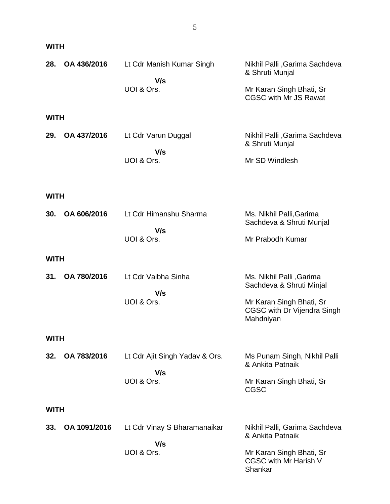| 28.<br>OA 436/2016                               | Lt Cdr Manish Kumar Singh<br>V/s<br>UOI & Ors.      | Nikhil Palli, Garima Sachdeva<br>& Shruti Munjal<br>Mr Karan Singh Bhati, Sr<br><b>CGSC with Mr JS Rawat</b>                 |
|--------------------------------------------------|-----------------------------------------------------|------------------------------------------------------------------------------------------------------------------------------|
| <b>WITH</b><br>OA 437/2016<br>29.                | Lt Cdr Varun Duggal<br>V/s<br>UOI & Ors.            | Nikhil Palli, Garima Sachdeva<br>& Shruti Munjal<br>Mr SD Windlesh                                                           |
| <b>WITH</b><br>OA 606/2016<br>30.<br><b>WITH</b> | Lt Cdr Himanshu Sharma<br>V/s<br>UOI & Ors.         | Ms. Nikhil Palli, Garima<br>Sachdeva & Shruti Munjal<br>Mr Prabodh Kumar                                                     |
| OA 780/2016<br>31.<br><b>WITH</b>                | Lt Cdr Vaibha Sinha<br>V/s<br>UOI & Ors.            | Ms. Nikhil Palli, Garima<br>Sachdeva & Shruti Minjal<br>Mr Karan Singh Bhati, Sr<br>CGSC with Dr Vijendra Singh<br>Mahdniyan |
| OA 783/2016<br>32.                               | Lt Cdr Ajit Singh Yadav & Ors.<br>V/s<br>UOI & Ors. | Ms Punam Singh, Nikhil Palli<br>& Ankita Patnaik<br>Mr Karan Singh Bhati, Sr<br><b>CGSC</b>                                  |
| <b>WITH</b><br>OA 1091/2016<br>33.               | Lt Cdr Vinay S Bharamanaikar<br>V/s<br>UOI & Ors.   | Nikhil Palli, Garima Sachdeva<br>& Ankita Patnaik<br>Mr Karan Singh Bhati, Sr                                                |

CGSC with Mr Harish V

Shankar

## **WITH**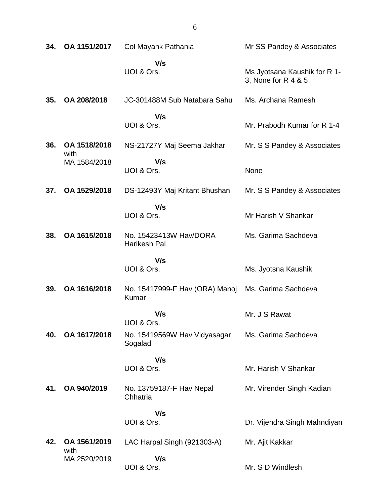| 34. | OA 1151/2017         | Col Mayank Pathania                            | Mr SS Pandey & Associates                           |
|-----|----------------------|------------------------------------------------|-----------------------------------------------------|
|     |                      | V/s<br>UOI & Ors.                              | Ms Jyotsana Kaushik for R 1-<br>3, None for R 4 & 5 |
| 35. | OA 208/2018          | JC-301488M Sub Natabara Sahu                   | Ms. Archana Ramesh                                  |
|     |                      | V/s<br>UOI & Ors.                              | Mr. Prabodh Kumar for R 1-4                         |
| 36. | OA 1518/2018<br>with | NS-21727Y Maj Seema Jakhar                     | Mr. S S Pandey & Associates                         |
|     | MA 1584/2018         | V/s<br>UOI & Ors.                              | None                                                |
| 37. | OA 1529/2018         | DS-12493Y Maj Kritant Bhushan                  | Mr. S S Pandey & Associates                         |
|     |                      | V/s<br>UOI & Ors.                              | Mr Harish V Shankar                                 |
| 38. | OA 1615/2018         | No. 15423413W Hav/DORA<br>Harikesh Pal         | Ms. Garima Sachdeva                                 |
|     |                      | V/s<br>UOI & Ors.                              | Ms. Jyotsna Kaushik                                 |
| 39. | OA 1616/2018         | No. 15417999-F Hav (ORA) Manoj<br><b>Kumar</b> | Ms. Garima Sachdeva                                 |
|     |                      | V/s<br>UOI & Ors.                              | Mr. J S Rawat                                       |
| 40. | OA 1617/2018         | No. 15419569W Hav Vidyasagar<br>Sogalad        | Ms. Garima Sachdeva                                 |
|     |                      | V/s<br>UOI & Ors.                              | Mr. Harish V Shankar                                |
| 41. | OA 940/2019          | No. 13759187-F Hav Nepal<br>Chhatria           | Mr. Virender Singh Kadian                           |
|     |                      | V/s<br>UOI & Ors.                              | Dr. Vijendra Singh Mahndiyan                        |
| 42. | OA 1561/2019<br>with | LAC Harpal Singh (921303-A)                    | Mr. Ajit Kakkar                                     |
|     | MA 2520/2019         | V/s<br>UOI & Ors.                              | Mr. S D Windlesh                                    |

6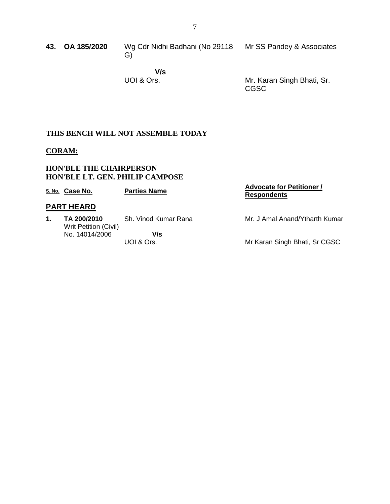**43. OA 185/2020** Wg Cdr Nidhi Badhani (No 29118 Mr SS Pandey & Associates G)

 **V/s** UOI & Ors.

Mr. Karan Singh Bhati, Sr. CGSC

### **THIS BENCH WILL NOT ASSEMBLE TODAY**

#### **CORAM:**

#### **HON'BLE THE CHAIRPERSON HON'BLE LT. GEN. PHILIP CAMPOSE**

|                   | S. No. Case No.                      | <b>Parties Name</b>  | <b>Advocate for Petitioner /</b><br><b>Respondents</b> |
|-------------------|--------------------------------------|----------------------|--------------------------------------------------------|
| <b>PART HEARD</b> |                                      |                      |                                                        |
| 1.                | TA 200/2010<br>Writ Petition (Civil) | Sh. Vinod Kumar Rana | Mr. J Amal Anand/Ytharth Kumar                         |
|                   | No. 14014/2006                       | V/s<br>UOI & Ors.    | Mr Karan Singh Bhati, Sr CGSC                          |
|                   |                                      |                      |                                                        |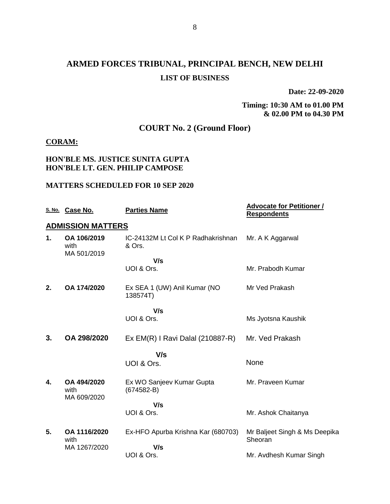# **ARMED FORCES TRIBUNAL, PRINCIPAL BENCH, NEW DELHI LIST OF BUSINESS**

**Date: 22-09-2020**

#### **Timing: 10:30 AM to 01.00 PM & 02.00 PM to 04.30 PM**

# **COURT No. 2 (Ground Floor)**

#### **CORAM:**

#### **HON'BLE MS. JUSTICE SUNITA GUPTA HON'BLE LT. GEN. PHILIP CAMPOSE**

#### **MATTERS SCHEDULED FOR 10 SEP 2020**

|    | S. No. Case No.                    | <b>Parties Name</b>                          | <b>Advocate for Petitioner /</b><br><b>Respondents</b> |
|----|------------------------------------|----------------------------------------------|--------------------------------------------------------|
|    | <b>ADMISSION MATTERS</b>           |                                              |                                                        |
| 1. | OA 106/2019<br>with<br>MA 501/2019 | IC-24132M Lt Col K P Radhakrishnan<br>& Ors. | Mr. A K Aggarwal                                       |
|    |                                    | V/s                                          |                                                        |
|    |                                    | UOI & Ors.                                   | Mr. Prabodh Kumar                                      |
| 2. | OA 174/2020                        | Ex SEA 1 (UW) Anil Kumar (NO<br>138574T)     | Mr Ved Prakash                                         |
|    |                                    | V/s                                          |                                                        |
|    |                                    | UOI & Ors.                                   | Ms Jyotsna Kaushik                                     |
| 3. | OA 298/2020                        | $Ex EM(R)$ I Ravi Dalal (210887-R)           | Mr. Ved Prakash                                        |
|    |                                    | V/s                                          |                                                        |
|    |                                    | UOI & Ors.                                   | None                                                   |
| 4. | OA 494/2020<br>with                | Ex WO Sanjeev Kumar Gupta<br>$(674582 - B)$  | Mr. Praveen Kumar                                      |
|    | MA 609/2020                        | V/s                                          |                                                        |
|    |                                    | UOI & Ors.                                   | Mr. Ashok Chaitanya                                    |
| 5. | OA 1116/2020<br>with               | Ex-HFO Apurba Krishna Kar (680703)           | Mr Baljeet Singh & Ms Deepika<br>Sheoran               |
|    | MA 1267/2020                       | V/s                                          |                                                        |
|    |                                    | UOI & Ors.                                   | Mr. Avdhesh Kumar Singh                                |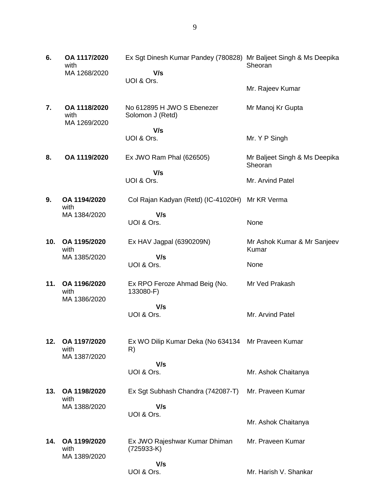| 6.  | OA 1117/2020<br>with<br>MA 1268/2020 | Ex Sgt Dinesh Kumar Pandey (780828) Mr Baljeet Singh & Ms Deepika<br>V/s | Sheoran                                  |
|-----|--------------------------------------|--------------------------------------------------------------------------|------------------------------------------|
|     |                                      | UOI & Ors.                                                               | Mr. Rajeev Kumar                         |
| 7.  | OA 1118/2020<br>with<br>MA 1269/2020 | No 612895 H JWO S Ebenezer<br>Solomon J (Retd)                           | Mr Manoj Kr Gupta                        |
|     |                                      | V/s                                                                      |                                          |
|     |                                      | UOI & Ors.                                                               | Mr. Y P Singh                            |
| 8.  | OA 1119/2020                         | Ex JWO Ram Phal (626505)                                                 | Mr Baljeet Singh & Ms Deepika<br>Sheoran |
|     |                                      | V/s<br>UOI & Ors.                                                        | Mr. Arvind Patel                         |
|     |                                      |                                                                          |                                          |
| 9.  | OA 1194/2020<br>with                 | Col Rajan Kadyan (Retd) (IC-41020H) Mr KR Verma                          |                                          |
|     | MA 1384/2020                         | V/s<br>UOI & Ors.                                                        | None                                     |
| 10. | OA 1195/2020<br>with                 | Ex HAV Jagpal (6390209N)                                                 | Mr Ashok Kumar & Mr Sanjeev<br>Kumar     |
|     | MA 1385/2020                         | V/s<br>UOI & Ors.                                                        | None                                     |
| 11. | OA 1196/2020<br>with                 | Ex RPO Feroze Ahmad Beig (No.<br>133080-F)                               | Mr Ved Prakash                           |
|     | MA 1386/2020                         | V/s                                                                      |                                          |
|     |                                      | UOI & Ors.                                                               | Mr. Arvind Patel                         |
| 12. | OA 1197/2020<br>with<br>MA 1387/2020 | Ex WO Dilip Kumar Deka (No 634134 Mr Praveen Kumar<br>R)                 |                                          |
|     |                                      | V/s                                                                      |                                          |
|     |                                      | UOI & Ors.                                                               | Mr. Ashok Chaitanya                      |
| 13. | OA 1198/2020<br>with                 | Ex Sgt Subhash Chandra (742087-T)                                        | Mr. Praveen Kumar                        |
|     | MA 1388/2020                         | V/s                                                                      |                                          |
|     |                                      | UOI & Ors.                                                               | Mr. Ashok Chaitanya                      |
| 14. | OA 1199/2020<br>with<br>MA 1389/2020 | Ex JWO Rajeshwar Kumar Dhiman<br>$(725933-K)$                            | Mr. Praveen Kumar                        |
|     |                                      | V/s                                                                      |                                          |
|     |                                      | UOI & Ors.                                                               | Mr. Harish V. Shankar                    |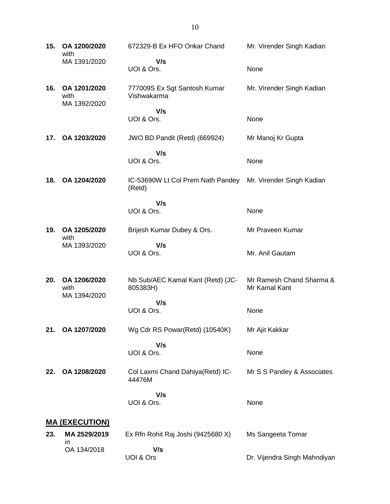**15. OA 1200/2020** with MA 1391/2020 672329-B Ex HFO Onkar Chand  **V/s** UOI & Ors. Mr. Virender Singh Kadian None **16. OA 1201/2020** with MA 1392/2020 777009S Ex Sgt Santosh Kumar Vishwakarma  **V/s** UOI & Ors. Mr. Virender Singh Kadian None **17. OA 1203/2020** JWO BD Pandit (Retd) (669924)  **V/s** UOI & Ors. Mr Manoj Kr Gupta None **18. OA 1204/2020** IC-53690W Lt Col Prem Nath Pandey (Retd)  **V/s** UOI & Ors. Mr. Virender Singh Kadian None **19. OA 1205/2020** with MA 1393/2020 Brijesh Kumar Dubey & Ors.  **V/s** UOI & Ors. Mr Praveen Kumar Mr. Anil Gautam **20. OA 1206/2020** with MA 1394/2020 Nb Sub/AEC Kamal Kant (Retd) (JC-805383H)  **V/s** UOI & Ors. Mr Ramesh Chand Sharma & Mr Kamal Kant None **21. OA 1207/2020** Wg Cdr RS Powar(Retd) (10540K)  **V/s** UOI & Ors. Mr Ajit Kakkar None **22. OA 1208/2020** Col Laxmi Chand Dahiya(Retd) IC-44476M  **V/s** UOI & Ors. Mr S S Pandey & Associates None **MA (EXECUTION) 23. MA 2529/2019** in OA 134/2018 Ex Rfn Rohit Raj Joshi (9425680 X)  **V/s** UOI & Ors Ms Sangeeta Tomar Dr. Vijendra Singh Mahndiyan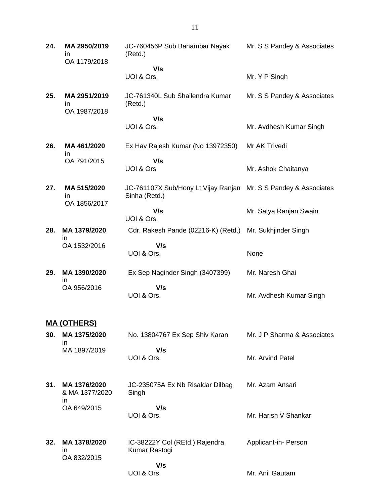| MA 2950/2019<br>in | JC-760456P Sub Banambar Nayak<br>(Retd.)                                | Mr. S S Pandey & Associates |
|--------------------|-------------------------------------------------------------------------|-----------------------------|
|                    | V/s<br>UOI & Ors.                                                       | Mr. Y P Singh               |
| MA 2951/2019<br>in | JC-761340L Sub Shailendra Kumar<br>(Retd.)                              | Mr. S S Pandey & Associates |
|                    | V/s                                                                     |                             |
|                    |                                                                         | Mr. Avdhesh Kumar Singh     |
| MA461/2020<br>in   | Ex Hav Rajesh Kumar (No 13972350)                                       | Mr AK Trivedi               |
|                    | UOI & Ors                                                               | Mr. Ashok Chaitanya         |
| MA 515/2020<br>in  | JC-761107X Sub/Hony Lt Vijay Ranjan<br>Sinha (Retd.)                    | Mr. S S Pandey & Associates |
|                    | V/s<br>UOI & Ors.                                                       | Mr. Satya Ranjan Swain      |
| MA 1379/2020       | Cdr. Rakesh Pande (02216-K) (Retd.)                                     | Mr. Sukhjinder Singh        |
| OA 1532/2016       | V/s<br>UOI & Ors.                                                       | None                        |
| MA 1390/2020       | Ex Sep Naginder Singh (3407399)                                         | Mr. Naresh Ghai             |
| OA 956/2016        | V/s<br>UOI & Ors.                                                       | Mr. Avdhesh Kumar Singh     |
|                    | OA 1179/2018<br>OA 1987/2018<br>OA 791/2015<br>OA 1856/2017<br>ın<br>ın | UOI & Ors.<br>V/s           |

## **MA (OTHERS)**

| 30. MA 1375/2020 | No. 13804767 Ex Sep Shiv Karan | Mr. J P Sharma & Associates |
|------------------|--------------------------------|-----------------------------|
| MA 1897/2019     | V/s                            |                             |
|                  | UOI & Ors.                     | Mr. Arvind Patel            |

- **31. MA 1376/2020** & MA 1377/2020 in OA 649/2015 JC-235075A Ex Nb Risaldar Dilbag Singh  **V/s** UOI & Ors. Mr. Azam Ansari Mr. Harish V Shankar
- **32. MA 1378/2020** in OA 832/2015 IC-38222Y Col (REtd.) Rajendra Kumar Rastogi  **V/s** UOI & Ors. Applicant-in- Person Mr. Anil Gautam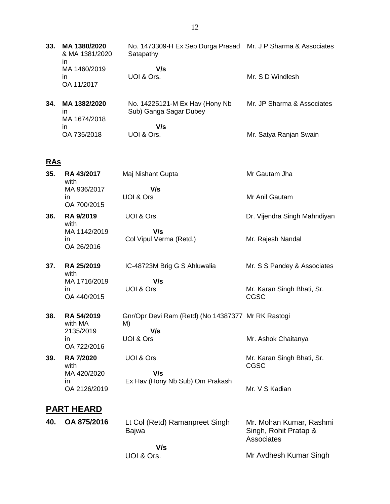**33. MA 1380/2020** & MA 1381/2020 in MA 1460/2019 in OA 11/2017 No. 1473309-H Ex Sep Durga Prasad Mr. J P Sharma & Associates **Satapathy V/s** UOI & Ors. Mr. S D Windlesh

| 34. | MA 1382/2020<br>ın | No. 14225121-M Ex Hav (Hony Nb)<br>Sub) Ganga Sagar Dubey | Mr. JP Sharma & Associates |
|-----|--------------------|-----------------------------------------------------------|----------------------------|
|     | MA 1674/2018<br>ın | V/s                                                       |                            |
|     | OA 735/2018        | UOI & Ors.                                                | Mr. Satya Ranjan Swain     |

# **RAs**

| 35. | RA 43/2017<br>with                 | Maj Nishant Gupta                                               | Mr Gautam Jha                                                  |
|-----|------------------------------------|-----------------------------------------------------------------|----------------------------------------------------------------|
|     | MA 936/2017<br>in<br>OA 700/2015   | V/s<br>UOI & Ors                                                | Mr Anil Gautam                                                 |
| 36. | RA 9/2019<br>with                  | UOI & Ors.                                                      | Dr. Vijendra Singh Mahndiyan                                   |
|     | MA 1142/2019<br>in.<br>OA 26/2016  | V/s<br>Col Vipul Verma (Retd.)                                  | Mr. Rajesh Nandal                                              |
| 37. | RA 25/2019<br>with                 | IC-48723M Brig G S Ahluwalia                                    | Mr. S S Pandey & Associates                                    |
|     | MA 1716/2019<br>in.<br>OA 440/2015 | V/s<br>UOI & Ors.                                               | Mr. Karan Singh Bhati, Sr.<br><b>CGSC</b>                      |
| 38. | RA 54/2019<br>with MA<br>2135/2019 | Gnr/Opr Devi Ram (Retd) (No 14387377 Mr RK Rastogi<br>M)<br>V/s |                                                                |
|     | in<br>OA 722/2016                  | UOI & Ors                                                       | Mr. Ashok Chaitanya                                            |
| 39. | <b>RA 7/2020</b><br>with           | UOI & Ors.                                                      | Mr. Karan Singh Bhati, Sr.<br>CGSC                             |
|     | MA 420/2020<br>in<br>OA 2126/2019  | V/s<br>Ex Hav (Hony Nb Sub) Om Prakash                          | Mr. V S Kadian                                                 |
|     | <b>PART HEARD</b>                  |                                                                 |                                                                |
| 40. | OA 875/2016                        | Lt Col (Retd) Ramanpreet Singh<br><b>Bajwa</b>                  | Mr. Mohan Kumar, Rashmi<br>Singh, Rohit Pratap &<br>Associates |
|     |                                    | $\mathbf{V}$                                                    |                                                                |

Mr Avdhesh Kumar Singh

 **V/s** UOI & Ors.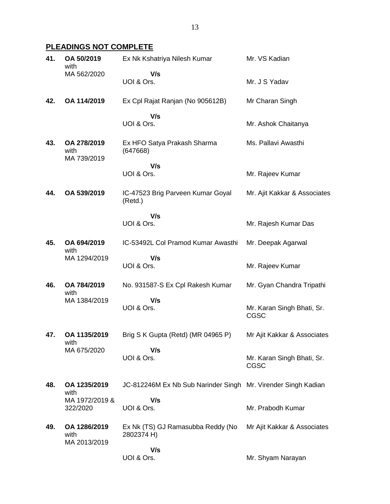# **PLEADINGS NOT COMPLETE**

| 41. | OA 50/2019<br>with                   | Ex Nk Kshatriya Nilesh Kumar                    | Mr. VS Kadian                             |
|-----|--------------------------------------|-------------------------------------------------|-------------------------------------------|
|     | MA 562/2020                          | V/s<br>UOI & Ors.                               | Mr. J S Yadav                             |
| 42. | OA 114/2019                          | Ex Cpl Rajat Ranjan (No 905612B)                | Mr Charan Singh                           |
|     |                                      | V/s<br>UOI & Ors.                               | Mr. Ashok Chaitanya                       |
| 43. | OA 278/2019<br>with<br>MA 739/2019   | Ex HFO Satya Prakash Sharma<br>(647668)         | Ms. Pallavi Awasthi                       |
|     |                                      | V/s<br>UOI & Ors.                               | Mr. Rajeev Kumar                          |
| 44. | OA 539/2019                          | IC-47523 Brig Parveen Kumar Goyal<br>(Retd.)    | Mr. Ajit Kakkar & Associates              |
|     |                                      | V/s<br>UOI & Ors.                               | Mr. Rajesh Kumar Das                      |
| 45. | OA 694/2019<br>with                  | IC-53492L Col Pramod Kumar Awasthi              | Mr. Deepak Agarwal                        |
|     | MA 1294/2019                         | V/s<br>UOI & Ors.                               | Mr. Rajeev Kumar                          |
| 46. | OA 784/2019<br>with                  | No. 931587-S Ex Cpl Rakesh Kumar                | Mr. Gyan Chandra Tripathi                 |
|     | MA 1384/2019                         | V/s<br>UOI & Ors.                               | Mr. Karan Singh Bhati, Sr.<br>CGSC        |
| 47. | OA 1135/2019                         | Brig S K Gupta (Retd) (MR 04965 P)              | Mr Ajit Kakkar & Associates               |
|     | with<br>MA 675/2020                  | V/s<br>UOI & Ors.                               | Mr. Karan Singh Bhati, Sr.<br><b>CGSC</b> |
| 48. | OA 1235/2019<br>with                 | JC-812246M Ex Nb Sub Narinder Singh             | Mr. Virender Singh Kadian                 |
|     | MA 1972/2019 &<br>322/2020           | V/s<br>UOI & Ors.                               | Mr. Prabodh Kumar                         |
| 49. | OA 1286/2019<br>with<br>MA 2013/2019 | Ex Nk (TS) GJ Ramasubba Reddy (No<br>2802374 H) | Mr Ajit Kakkar & Associates               |
|     |                                      | V/s<br>UOI & Ors.                               | Mr. Shyam Narayan                         |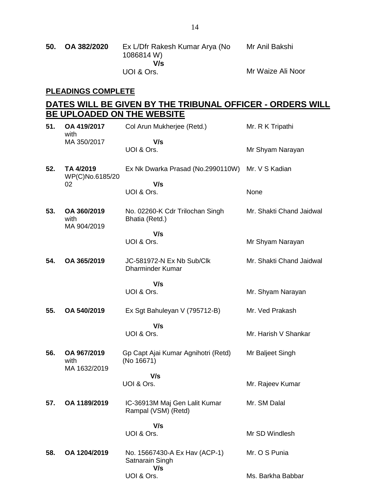#### **PLEADINGS COMPLETE**

# **DATES WILL BE GIVEN BY THE TRIBUNAL OFFICER - ORDERS WILL BE UPLOADED ON THE WEBSITE**

| 51. | OA 419/2017<br>with                 | Col Arun Mukherjee (Retd.)                              | Mr. R K Tripathi         |
|-----|-------------------------------------|---------------------------------------------------------|--------------------------|
|     | MA 350/2017                         | V/s<br>UOI & Ors.                                       | Mr Shyam Narayan         |
| 52. | TA 4/2019<br>WP(C)No.6185/20        | Ex Nk Dwarka Prasad (No.2990110W)                       | Mr. V S Kadian           |
|     | 02                                  | V/s<br>UOI & Ors.                                       | None                     |
| 53. | OA 360/2019<br>with<br>MA 904/2019  | No. 02260-K Cdr Trilochan Singh<br>Bhatia (Retd.)       | Mr. Shakti Chand Jaidwal |
|     |                                     | V/s<br>UOI & Ors.                                       | Mr Shyam Narayan         |
| 54. | OA 365/2019                         | JC-581972-N Ex Nb Sub/Clk<br><b>Dharminder Kumar</b>    | Mr. Shakti Chand Jaidwal |
|     |                                     | V/s<br>UOI & Ors.                                       | Mr. Shyam Narayan        |
| 55. | OA 540/2019                         | Ex Sgt Bahuleyan V (795712-B)                           | Mr. Ved Prakash          |
|     |                                     | V/s<br>UOI & Ors.                                       | Mr. Harish V Shankar     |
| 56. | OA 967/2019<br>with<br>MA 1632/2019 | Gp Capt Ajai Kumar Agnihotri (Retd)<br>(No 16671)       | Mr Baljeet Singh         |
|     |                                     | V/s<br>UOI & Ors.                                       | Mr. Rajeev Kumar         |
| 57. | OA 1189/2019                        | IC-36913M Maj Gen Lalit Kumar<br>Rampal (VSM) (Retd)    | Mr. SM Dalal             |
|     |                                     | V/s<br>UOI & Ors.                                       | Mr SD Windlesh           |
| 58. | OA 1204/2019                        | No. 15667430-A Ex Hav (ACP-1)<br>Satnarain Singh<br>V/s | Mr. O S Punia            |
|     |                                     | UOI & Ors.                                              | Ms. Barkha Babbar        |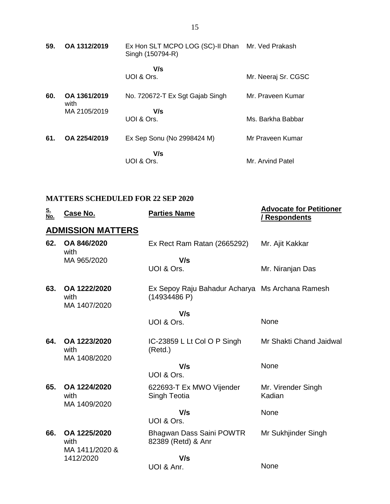| 59. | OA 1312/2019         | Ex Hon SLT MCPO LOG (SC)-II Dhan<br>Singh (150794-R) | Mr. Ved Prakash     |
|-----|----------------------|------------------------------------------------------|---------------------|
|     |                      | V/s<br>UOI & Ors.                                    | Mr. Neeraj Sr. CGSC |
| 60. | OA 1361/2019<br>with | No. 720672-T Ex Sgt Gajab Singh                      | Mr. Praveen Kumar   |
|     | MA 2105/2019         | V/s<br>UOI & Ors.                                    | Ms. Barkha Babbar   |
| 61. | OA 2254/2019         | Ex Sep Sonu (No 2998424 M)                           | Mr Praveen Kumar    |
|     |                      | V/s<br>UOI & Ors.                                    | Mr. Arvind Patel    |

# **MATTERS SCHEDULED FOR 22 SEP 2020**

| <u>S.<br/>No.</u> | Case No.                             | <b>Parties Name</b>                                             | <b>Advocate for Petitioner</b><br><b>Respondents</b> |
|-------------------|--------------------------------------|-----------------------------------------------------------------|------------------------------------------------------|
|                   | <b>ADMISSION MATTERS</b>             |                                                                 |                                                      |
| 62.               | OA 846/2020<br>with                  | Ex Rect Ram Ratan (2665292)                                     | Mr. Ajit Kakkar                                      |
|                   | MA 965/2020                          | V/s<br>UOI & Ors.                                               | Mr. Niranjan Das                                     |
| 63.               | OA 1222/2020<br>with<br>MA 1407/2020 | Ex Sepoy Raju Bahadur Acharya Ms Archana Ramesh<br>(14934486 P) |                                                      |
|                   |                                      | V/s                                                             |                                                      |
|                   |                                      | UOI & Ors.                                                      | None                                                 |
| 64.               | OA 1223/2020<br>with<br>MA 1408/2020 | IC-23859 L Lt Col O P Singh<br>(Retd.)                          | Mr Shakti Chand Jaidwal                              |
|                   |                                      | V/s<br>UOI & Ors.                                               | None                                                 |
| 65.               | OA 1224/2020<br>with                 | 622693-T Ex MWO Vijender<br>Singh Teotia                        | Mr. Virender Singh<br>Kadian                         |
|                   | MA 1409/2020                         | V/s<br>UOI & Ors.                                               | None                                                 |
| 66.               | OA 1225/2020<br>with                 | Bhagwan Dass Saini POWTR<br>82389 (Retd) & Anr                  | Mr Sukhjinder Singh                                  |
|                   | MA 1411/2020 &<br>1412/2020          | V/s                                                             |                                                      |
|                   |                                      | UOI & Anr.                                                      | None                                                 |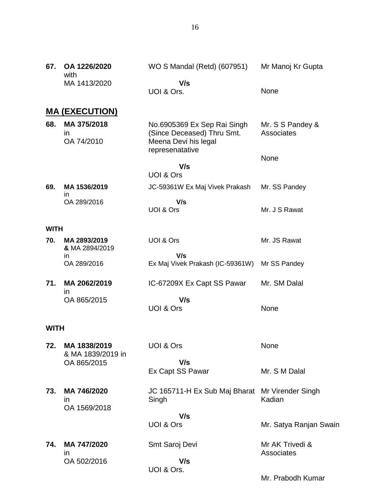| 67.         | OA 1226/2020<br>with                   | WO S Mandal (Retd) (607951)                                                                          | Mr Manoj Kr Gupta              |
|-------------|----------------------------------------|------------------------------------------------------------------------------------------------------|--------------------------------|
|             | MA 1413/2020                           | V/s<br>UOI & Ors.                                                                                    | None                           |
|             | <b>MA (EXECUTION)</b>                  |                                                                                                      |                                |
| 68.         | MA 375/2018<br><i>in</i><br>OA 74/2010 | No.6905369 Ex Sep Rai Singh<br>(Since Deceased) Thru Smt.<br>Meena Devi his legal<br>represenatative | Mr. S S Pandey &<br>Associates |
|             |                                        | V/s<br><b>UOI &amp; Ors</b>                                                                          | None                           |
| 69.         | MA 1536/2019                           | JC-59361W Ex Maj Vivek Prakash                                                                       | Mr. SS Pandey                  |
|             | in<br>OA 289/2016                      | V/s<br>UOI & Ors                                                                                     | Mr. J S Rawat                  |
| <b>WITH</b> |                                        |                                                                                                      |                                |
| 70.         | MA 2893/2019<br>& MA 2894/2019         | UOI & Ors                                                                                            | Mr. JS Rawat                   |
|             | in<br>OA 289/2016                      | V/s<br>Ex Maj Vivek Prakash (IC-59361W) Mr SS Pandey                                                 |                                |
| 71.         | MA 2062/2019<br><i>in</i>              | IC-67209X Ex Capt SS Pawar                                                                           | Mr. SM Dalal                   |
|             | OA 865/2015                            | V/s<br><b>UOI &amp; Ors</b>                                                                          | None                           |
| <b>WITH</b> |                                        |                                                                                                      |                                |
| 72.         | MA 1838/2019<br>& MA 1839/2019 in      | UOI & Ors                                                                                            | None                           |
|             | OA 865/2015                            | V/s<br>Ex Capt SS Pawar                                                                              | Mr. S M Dalal                  |
| 73.         | MA 746/2020<br>ın                      | JC 165711-H Ex Sub Maj Bharat Mr Virender Singh<br>Singh                                             | Kadian                         |
|             | OA 1569/2018                           | V/s<br>UOI & Ors                                                                                     | Mr. Satya Ranjan Swain         |
| 74.         | MA 747/2020<br>in.                     | Smt Saroj Devi                                                                                       | Mr AK Trivedi &<br>Associates  |
|             | OA 502/2016                            | V/s<br>UOI & Ors.                                                                                    | Mr. Prabodh Kumar              |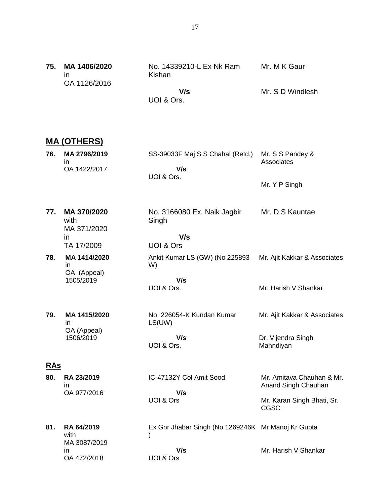|  | 75. MA 1406/2020 | No. 14339210-L Ex Nk Ram | Mr. M K Gaur     |
|--|------------------|--------------------------|------------------|
|  | ın               | Kishan                   |                  |
|  | OA 1126/2016     |                          |                  |
|  |                  | V/s                      | Mr. S D Windlesh |
|  |                  | UOI & Ors.               |                  |

# **MA (OTHERS)**

| 76.        | MA 2796/2019<br>in.<br>OA 1422/2017                      | SS-39033F Maj S S Chahal (Retd.)<br>V/s<br>UOI & Ors.                  | Mr. S S Pandey &<br>Associates<br>Mr. Y P Singh                                        |
|------------|----------------------------------------------------------|------------------------------------------------------------------------|----------------------------------------------------------------------------------------|
| 77.        | MA 370/2020<br>with<br>MA 371/2020<br>in.<br>TA 17/2009  | No. 3166080 Ex. Naik Jagbir<br>Singh<br>V/s<br>UOI & Ors               | Mr. D S Kauntae                                                                        |
| 78.        | MA 1414/2020<br>in<br>OA (Appeal)<br>1505/2019           | Ankit Kumar LS (GW) (No 225893<br>W)<br>V/s<br>UOI & Ors.              | Mr. Ajit Kakkar & Associates<br>Mr. Harish V Shankar                                   |
| 79.        | MA 1415/2020<br>in<br>OA (Appeal)<br>1506/2019           | No. 226054-K Kundan Kumar<br>LS(UW)<br>V/s<br>UOI & Ors.               | Mr. Ajit Kakkar & Associates<br>Dr. Vijendra Singh<br>Mahndiyan                        |
| <b>RAS</b> |                                                          |                                                                        |                                                                                        |
| 80.        | RA 23/2019<br>in<br>OA 977/2016                          | IC-47132Y Col Amit Sood<br>V/s<br>UOI & Ors                            | Mr. Amitava Chauhan & Mr.<br>Anand Singh Chauhan<br>Mr. Karan Singh Bhati, Sr.<br>CGSC |
| 81.        | RA 64/2019<br>with<br>MA 3087/2019<br>in.<br>OA 472/2018 | Ex Gnr Jhabar Singh (No 1269246K Mr Manoj Kr Gupta<br>V/s<br>UOI & Ors | Mr. Harish V Shankar                                                                   |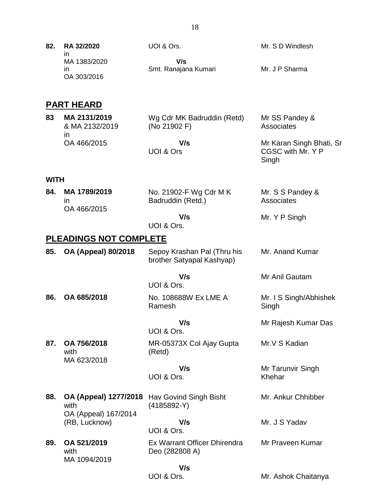| 82. | RA 32/2020                              | UOI & Ors.                  | Mr. S D Windlesh |
|-----|-----------------------------------------|-----------------------------|------------------|
|     | ın<br>MA 1383/2020<br>ın<br>OA 303/2016 | V/s<br>Smt. Ranajana Kumari | Mr. J P Sharma   |

# **PART HEARD**

| 83 | MA 2131/2019   | Wg Cdr MK Badruddin (Retd) | Mr SS Pandey &           |
|----|----------------|----------------------------|--------------------------|
|    | & MA 2132/2019 | (No 21902 F)               | Associates               |
|    | ın             | V/s                        | Mr Karan Singh Bhati, Sr |
|    | OA 466/2015    | UOI & Ors                  | CGSC with Mr. Y P        |

Singh

#### **WITH**

| 84. | MA 1789/2019 | No. 21902-F Wg Cdr M K | Mr. S S Pandey & |
|-----|--------------|------------------------|------------------|
|     |              | Badruddin (Retd.)      | Associates       |
|     | OA 466/2015  |                        |                  |
|     |              | V/s                    | Mr. Y P Singh    |

UOI & Ors.

# **PLEADINGS NOT COMPLETE**

| 85. | <b>OA (Appeal) 80/2018</b>                            | Sepoy Krashan Pal (Thru his<br>brother Satyapal Kashyap) | Mr. Anand Kumar                 |
|-----|-------------------------------------------------------|----------------------------------------------------------|---------------------------------|
|     |                                                       | V/s<br>UOI & Ors.                                        | Mr Anil Gautam                  |
| 86. | OA 685/2018                                           | No. 108688W Ex LME A<br>Ramesh                           | Mr. I S Singh/Abhishek<br>Singh |
|     |                                                       | V/s<br>UOI & Ors.                                        | Mr Rajesh Kumar Das             |
| 87. | OA 756/2018<br>with                                   | MR-05373X Col Ajay Gupta<br>(Retd)                       | Mr.V S Kadian                   |
|     | MA 623/2018                                           | V/s<br>UOI & Ors.                                        | Mr Tarunvir Singh<br>Khehar     |
| 88. | OA (Appeal) 1277/2018<br>with<br>OA (Appeal) 167/2014 | Hav Govind Singh Bisht<br>(4185892-Y)                    | Mr. Ankur Chhibber              |
|     | (RB, Lucknow)                                         | V/s<br>UOI & Ors.                                        | Mr. J S Yadav                   |
| 89. | OA 521/2019<br>with<br>MA 1094/2019                   | Ex Warrant Officer Dhirendra<br>Deo (282808 A)           | Mr Praveen Kumar                |
|     |                                                       | V/s                                                      |                                 |
|     |                                                       | UOI & Ors.                                               | Mr. Ashok Chaitanya             |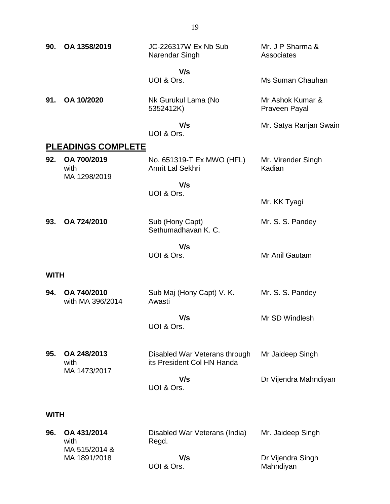| 90.         | OA 1358/2019                         | JC-226317W Ex Nb Sub<br>Narendar Singh                      | Mr. J P Sharma &<br>Associates    |
|-------------|--------------------------------------|-------------------------------------------------------------|-----------------------------------|
|             |                                      | V/s<br>UOI & Ors.                                           | Ms Suman Chauhan                  |
| 91.         | OA 10/2020                           | Nk Gurukul Lama (No<br>5352412K)                            | Mr Ashok Kumar &<br>Praveen Payal |
|             |                                      | V/s<br>UOI & Ors.                                           | Mr. Satya Ranjan Swain            |
|             | <b>PLEADINGS COMPLETE</b>            |                                                             |                                   |
| 92.         | OA 700/2019<br>with                  | No. 651319-T Ex MWO (HFL)<br>Amrit Lal Sekhri               | Mr. Virender Singh<br>Kadian      |
|             | MA 1298/2019                         | V/s<br>UOI & Ors.                                           |                                   |
|             |                                      |                                                             | Mr. KK Tyagi                      |
| 93.         | OA 724/2010                          | Sub (Hony Capt)<br>Sethumadhavan K. C.                      | Mr. S. S. Pandey                  |
|             |                                      | V/s<br>UOI & Ors.                                           | Mr Anil Gautam                    |
| <b>WITH</b> |                                      |                                                             |                                   |
| 94.         | OA 740/2010<br>with MA 396/2014      | Sub Maj (Hony Capt) V. K.<br>Awasti                         | Mr. S. S. Pandey                  |
|             |                                      | V/s<br>UOI & Ors.                                           | Mr SD Windlesh                    |
| 95.         | OA 248/2013<br>with<br>MA 1473/2017  | Disabled War Veterans through<br>its President Col HN Handa | Mr Jaideep Singh                  |
|             |                                      | V/s<br>UOI & Ors.                                           | Dr Vijendra Mahndiyan             |
| WITH        |                                      |                                                             |                                   |
| 96.         | OA 431/2014<br>with<br>MA 515/2014 & | Disabled War Veterans (India)<br>Regd.                      | Mr. Jaideep Singh                 |
|             | MA 1891/2018                         | V/s                                                         | Dr Vijendra Singh                 |

 **V/s** UOI & Ors.

Dr Vijendra Singh Mahndiyan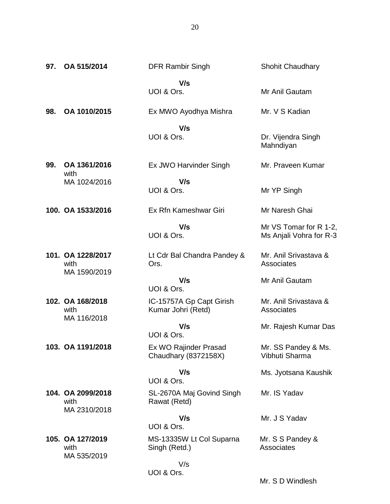| 97. | OA 515/2014                               | <b>DFR Rambir Singh</b>                        | <b>Shohit Chaudhary</b>                           |
|-----|-------------------------------------------|------------------------------------------------|---------------------------------------------------|
|     |                                           | V/s<br>UOI & Ors.                              | Mr Anil Gautam                                    |
| 98. | OA 1010/2015                              | Ex MWO Ayodhya Mishra                          | Mr. V S Kadian                                    |
|     |                                           | V/s<br>UOI & Ors.                              | Dr. Vijendra Singh<br>Mahndiyan                   |
| 99. | OA 1361/2016<br>with                      | Ex JWO Harvinder Singh                         | Mr. Praveen Kumar                                 |
|     | MA 1024/2016                              | V/s<br>UOI & Ors.                              | Mr YP Singh                                       |
|     | 100. OA 1533/2016                         | Ex Rfn Kameshwar Giri                          | Mr Naresh Ghai                                    |
|     |                                           | V/s<br>UOI & Ors.                              | Mr VS Tomar for R 1-2,<br>Ms Anjali Vohra for R-3 |
|     | 101. OA 1228/2017<br>with<br>MA 1590/2019 | Lt Cdr Bal Chandra Pandey &<br>Ors.            | Mr. Anil Srivastava &<br>Associates               |
|     |                                           | V/s<br>UOI & Ors.                              | Mr Anil Gautam                                    |
|     | 102. OA 168/2018<br>with<br>MA 116/2018   | IC-15757A Gp Capt Girish<br>Kumar Johri (Retd) | Mr. Anil Srivastava &<br>Associates               |
|     |                                           | V/s<br>UOI & Ors.                              | Mr. Rajesh Kumar Das                              |
|     | 103. OA 1191/2018                         | Ex WO Rajinder Prasad<br>Chaudhary (8372158X)  | Mr. SS Pandey & Ms.<br>Vibhuti Sharma             |
|     |                                           | V/s<br>UOI & Ors.                              | Ms. Jyotsana Kaushik                              |
|     | 104. OA 2099/2018<br>with<br>MA 2310/2018 | SL-2670A Maj Govind Singh<br>Rawat (Retd)      | Mr. IS Yadav                                      |
|     |                                           | V/s<br>UOI & Ors.                              | Mr. J S Yadav                                     |
|     | 105. OA 127/2019<br>with                  | MS-13335W Lt Col Suparna<br>Singh (Retd.)      | Mr. S S Pandey &<br>Associates                    |
|     | MA 535/2019                               | V/s<br>UOI & Ors.                              |                                                   |

Mr. S D Windlesh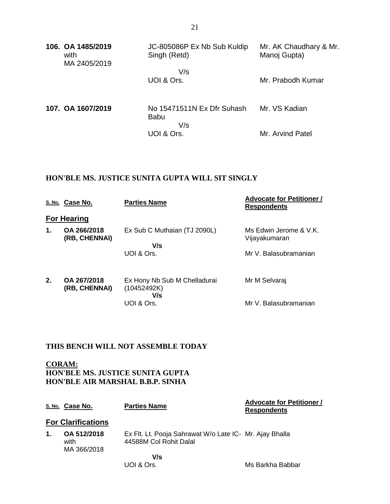| 106. OA 1485/2019<br>with<br>MA 2405/2019 | JC-805086P Ex Nb Sub Kuldip<br>Singh (Retd)      | Mr. AK Chaudhary & Mr.<br>Manoj Gupta) |
|-------------------------------------------|--------------------------------------------------|----------------------------------------|
|                                           | V/s<br>UOI & Ors.                                | Mr. Prabodh Kumar                      |
|                                           |                                                  |                                        |
| 107. OA 1607/2019                         | No 15471511N Ex Dfr Suhash<br><b>Babu</b><br>V/s | Mr. VS Kadian                          |
|                                           | UOI & Ors.                                       | Mr. Arvind Patel                       |

#### **HON'BLE MS. JUSTICE SUNITA GUPTA WILL SIT SINGLY**

|               | S. No. Case No.              | <b>Parties Name</b>                                | <b>Advocate for Petitioner /</b><br><b>Respondents</b> |
|---------------|------------------------------|----------------------------------------------------|--------------------------------------------------------|
|               | <b>For Hearing</b>           |                                                    |                                                        |
| $\mathbf 1$ . | OA 266/2018                  | Ex Sub C Muthaian (TJ 2090L)                       | Ms Edwin Jerome & V.K.                                 |
|               | (RB, CHENNAI)                | V/s                                                | Vijayakumaran                                          |
|               |                              | UOI & Ors.                                         | Mr V. Balasubramanian                                  |
| 2.            | OA 267/2018<br>(RB, CHENNAI) | Ex Hony Nb Sub M Chelladurai<br>(10452492K)<br>V/s | Mr M Selvaraj                                          |
|               |                              | UOI & Ors.                                         | Mr V. Balasubramanian                                  |

### **THIS BENCH WILL NOT ASSEMBLE TODAY**

UOI & Ors.

**CORAM: HON'BLE MS. JUSTICE SUNITA GUPTA HON'BLE AIR MARSHAL B.B.P. SINHA**

|    | S. No. Case No.                    | <b>Parties Name</b>                                                               | <b>Advocate for Petitioner /</b><br><b>Respondents</b> |
|----|------------------------------------|-----------------------------------------------------------------------------------|--------------------------------------------------------|
|    | <b>For Clarifications</b>          |                                                                                   |                                                        |
| 1. | OA 512/2018<br>with<br>MA 366/2018 | Ex Flt. Lt. Pooja Sahrawat W/o Late IC- Mr. Ajay Bhalla<br>44588M Col Rohit Dalal |                                                        |
|    |                                    | V/s                                                                               |                                                        |

Ms Barkha Babbar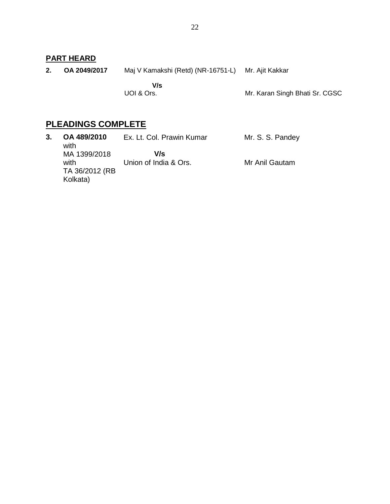## **PART HEARD**

**2. OA 2049/2017** Maj V Kamakshi (Retd) (NR-16751-L) Mr. Ajit Kakkar

 **V/s** UOI & Ors.

Mr. Karan Singh Bhati Sr. CGSC

# **PLEADINGS COMPLETE**

| OA 489/2010<br>with                                | Ex. Lt. Col. Prawin Kumar    | Mr. S. S. Pandey |
|----------------------------------------------------|------------------------------|------------------|
| MA 1399/2018<br>with<br>TA 36/2012 (RB<br>Kolkata) | V/s<br>Union of India & Ors. | Mr Anil Gautam   |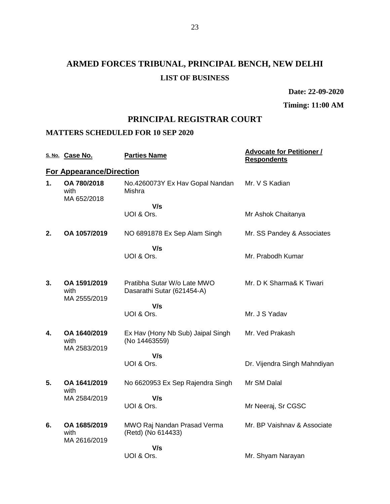# **ARMED FORCES TRIBUNAL, PRINCIPAL BENCH, NEW DELHI LIST OF BUSINESS**

**Date: 22-09-2020**

**Timing: 11:00 AM**

# **PRINCIPAL REGISTRAR COURT**

#### **MATTERS SCHEDULED FOR 10 SEP 2020**

|    | S. No. Case No.                      | <b>Parties Name</b>                                | <b>Advocate for Petitioner /</b><br><b>Respondents</b> |
|----|--------------------------------------|----------------------------------------------------|--------------------------------------------------------|
|    | <b>For Appearance/Direction</b>      |                                                    |                                                        |
| 1. | OA 780/2018<br>with<br>MA 652/2018   | No.4260073Y Ex Hav Gopal Nandan<br>Mishra          | Mr. V S Kadian                                         |
|    |                                      | V/s                                                |                                                        |
|    |                                      | UOI & Ors.                                         | Mr Ashok Chaitanya                                     |
| 2. | OA 1057/2019                         | NO 6891878 Ex Sep Alam Singh                       | Mr. SS Pandey & Associates                             |
|    |                                      | V/s                                                |                                                        |
|    |                                      | UOI & Ors.                                         | Mr. Prabodh Kumar                                      |
| 3. | OA 1591/2019                         | Pratibha Sutar W/o Late MWO                        | Mr. D K Sharma& K Tiwari                               |
|    | with                                 | Dasarathi Sutar (621454-A)                         |                                                        |
|    | MA 2555/2019                         | V/s                                                |                                                        |
|    |                                      | UOI & Ors.                                         | Mr. J S Yadav                                          |
| 4. | OA 1640/2019<br>with<br>MA 2583/2019 | Ex Hav (Hony Nb Sub) Jaipal Singh<br>(No 14463559) | Mr. Ved Prakash                                        |
|    |                                      | V/s                                                |                                                        |
|    |                                      | UOI & Ors.                                         | Dr. Vijendra Singh Mahndiyan                           |
| 5. | OA 1641/2019<br>with                 | No 6620953 Ex Sep Rajendra Singh                   | Mr SM Dalal                                            |
|    | MA 2584/2019                         | V/s                                                |                                                        |
|    |                                      | UOI & Ors.                                         | Mr Neeraj, Sr CGSC                                     |
| 6. | OA 1685/2019<br>with                 | MWO Raj Nandan Prasad Verma<br>(Retd) (No 614433)  | Mr. BP Vaishnav & Associate                            |
|    | MA 2616/2019                         | V/s                                                |                                                        |
|    |                                      | UOI & Ors.                                         | Mr. Shyam Narayan                                      |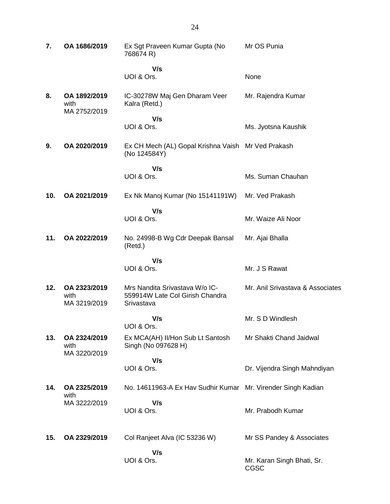| 7.  | OA 1686/2019                         | Ex Sgt Praveen Kumar Gupta (No<br>768674 R)                                     | Mr OS Punia                        |
|-----|--------------------------------------|---------------------------------------------------------------------------------|------------------------------------|
|     |                                      | V/s<br>UOI & Ors.                                                               | None                               |
| 8.  | OA 1892/2019<br>with<br>MA 2752/2019 | IC-30278W Maj Gen Dharam Veer<br>Kalra (Retd.)                                  | Mr. Rajendra Kumar                 |
|     |                                      | V/s<br>UOI & Ors.                                                               | Ms. Jyotsna Kaushik                |
| 9.  | OA 2020/2019                         | Ex CH Mech (AL) Gopal Krishna Vaish Mr Ved Prakash<br>(No 124584Y)              |                                    |
|     |                                      | V/s<br>UOI & Ors.                                                               | Ms. Suman Chauhan                  |
| 10. | OA 2021/2019                         | Ex Nk Manoj Kumar (No 15141191W)                                                | Mr. Ved Prakash                    |
|     |                                      | V/s<br>UOI & Ors.                                                               | Mr. Waize Ali Noor                 |
| 11. | OA 2022/2019                         | No. 24998-B Wg Cdr Deepak Bansal<br>(Retd.)                                     | Mr. Ajai Bhalla                    |
|     |                                      | V/s<br>UOI & Ors.                                                               | Mr. J S Rawat                      |
| 12. | OA 2323/2019<br>with<br>MA 3219/2019 | Mrs Nandita Srivastava W/o IC-<br>559914W Late Col Girish Chandra<br>Srivastava | Mr. Anil Srivastava & Associates   |
|     |                                      | V/s<br>UOI & Ors.                                                               | Mr. S D Windlesh                   |
| 13. | OA 2324/2019<br>with<br>MA 3220/2019 | Ex MCA(AH) II/Hon Sub Lt Santosh<br>Singh (No 097628 H)                         | Mr Shakti Chand Jaidwal            |
|     |                                      | V/s<br>UOI & Ors.                                                               | Dr. Vijendra Singh Mahndiyan       |
|     |                                      |                                                                                 |                                    |
| 14. | OA 2325/2019<br>with                 | No. 14611963-A Ex Hav Sudhir Kumar Mr. Virender Singh Kadian                    |                                    |
|     | MA 3222/2019                         | V/s<br>UOI & Ors.                                                               | Mr. Prabodh Kumar                  |
| 15. | OA 2329/2019                         | Col Ranjeet Alva (IC 53236 W)                                                   | Mr SS Pandey & Associates          |
|     |                                      | V/s<br>UOI & Ors.                                                               | Mr. Karan Singh Bhati, Sr.<br>CGSC |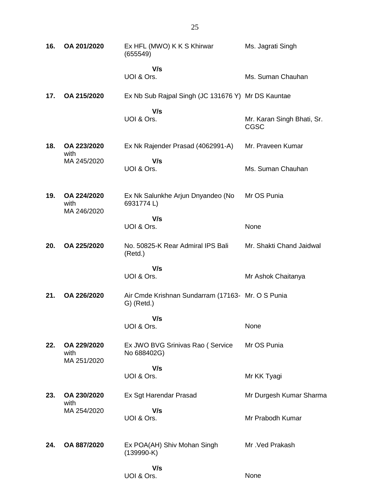| 16. | OA 201/2020                        | Ex HFL (MWO) K K S Khirwar<br>(655549)             | Ms. Jagrati Singh                  |
|-----|------------------------------------|----------------------------------------------------|------------------------------------|
|     |                                    | V/s<br>UOI & Ors.                                  | Ms. Suman Chauhan                  |
| 17. | OA 215/2020                        | Ex Nb Sub Rajpal Singh (JC 131676 Y) Mr DS Kauntae |                                    |
|     |                                    | V/s<br>UOI & Ors.                                  | Mr. Karan Singh Bhati, Sr.<br>CGSC |
| 18. | OA 223/2020<br>with                | Ex Nk Rajender Prasad (4062991-A)                  | Mr. Praveen Kumar                  |
|     | MA 245/2020                        | V/s<br>UOI & Ors.                                  | Ms. Suman Chauhan                  |
| 19. | OA 224/2020<br>with<br>MA 246/2020 | Ex Nk Salunkhe Arjun Dnyandeo (No<br>6931774L)     | Mr OS Punia                        |
|     |                                    | V/s<br>UOI & Ors.                                  | None                               |
| 20. | OA 225/2020                        | No. 50825-K Rear Admiral IPS Bali<br>(Retd.)       | Mr. Shakti Chand Jaidwal           |
|     |                                    | V/s<br>UOI & Ors.                                  | Mr Ashok Chaitanya                 |
|     | OA 226/2020                        | Air Cmde Krishnan Sundarram (17163- Mr. O S Punia  |                                    |
| 21. |                                    | $G)$ (Retd.)                                       |                                    |
|     |                                    | V/s<br>UOI & Ors.                                  | None                               |
| 22. | OA 229/2020<br>with                | Ex JWO BVG Srinivas Rao (Service<br>No 688402G)    | Mr OS Punia                        |
|     | MA 251/2020                        | V/s                                                |                                    |
|     |                                    | UOI & Ors.                                         | Mr KK Tyagi                        |
| 23. | OA 230/2020<br>with                | Ex Sgt Harendar Prasad                             | Mr Durgesh Kumar Sharma            |
|     | MA 254/2020                        | V/s<br>UOI & Ors.                                  | Mr Prabodh Kumar                   |
| 24. | OA 887/2020                        | Ex POA(AH) Shiv Mohan Singh<br>$(139990-K)$        | Mr. Ved Prakash                    |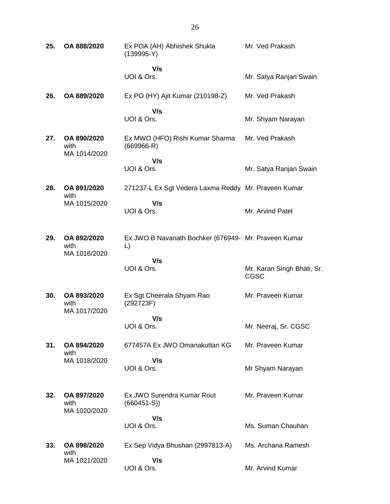**25. OA 888/2020** Ex POA (AH) Abhishek Shukla (139995-Y)  **V/s** UOI & Ors. Mr. Ved Prakash Mr. Satya Ranjan Swain **26. OA 889/2020** Ex PO (HY) Ajit Kumar (210198-Z)  **V/s** UOI & Ors. Mr. Ved Prakash Mr. Shyam Narayan **27. OA 890/2020** with MA 1014/2020 Ex MWO (HFO) Rishi Kumar Sharma (669966-R)  **V/s** UOI & Ors. Mr. Ved Prakash Mr. Satya Ranjan Swain **28. OA 891/2020** with MA 1015/2020 271237-L Ex Sgt Vedera Laxma Reddy Mr. Praveen Kumar  **V/s** UOI & Ors. Mr. Arvind Patel **29. OA 892/2020** with MA 1016/2020 Ex JWO B Navanath Bochker (676949- Mr. Praveen Kumar L)  **V/s** UOI & Ors. Mr. Karan Singh Bhati, Sr. CGSC **30. OA 893/2020** with MA 1017/2020 Ex Sgt Cheerala Shyam Rao (292723F)  **V/s** UOI & Ors. Mr. Praveen Kumar Mr. Neeraj, Sr. CGSC **31. OA 894/2020** with MA 1018/2020 677457A Ex JWO Omanakuttan KG  **V/s** UOI & Ors. Mr. Praveen Kumar Mr Shyam Narayan **32. OA 897/2020** with MA 1020/2020 Ex JWO Surendra Kumar Rout (660451-S))  **V/s** UOI & Ors. Mr. Praveen Kumar Ms. Suman Chauhan **33. OA 898/2020** with MA 1021/2020 Ex Sep Vidya Bhushan (2997813-A)  **V/s** UOI & Ors. Ms. Archana Ramesh Mr. Arvind Kumar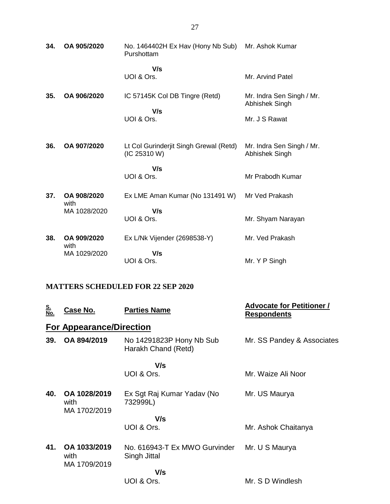| 34. | OA 905/2020         | No. 1464402H Ex Hav (Hony Nb Sub)<br>Purshottam        | Mr. Ashok Kumar                             |
|-----|---------------------|--------------------------------------------------------|---------------------------------------------|
|     |                     | V/s<br>UOI & Ors.                                      | Mr. Arvind Patel                            |
| 35. | OA 906/2020         | IC 57145K Col DB Tingre (Retd)<br>V/s                  | Mr. Indra Sen Singh / Mr.<br>Abhishek Singh |
|     |                     | UOI & Ors.                                             | Mr. J S Rawat                               |
| 36. | OA 907/2020         | Lt Col Gurinderjit Singh Grewal (Retd)<br>(IC 25310 W) | Mr. Indra Sen Singh / Mr.<br>Abhishek Singh |
|     |                     | V/s<br>UOI & Ors.                                      | Mr Prabodh Kumar                            |
| 37. | OA 908/2020<br>with | Ex LME Aman Kumar (No 131491 W)                        | Mr Ved Prakash                              |
|     | MA 1028/2020        | V/s<br>UOI & Ors.                                      | Mr. Shyam Narayan                           |
| 38. | OA 909/2020<br>with | Ex L/Nk Vijender (2698538-Y)                           | Mr. Ved Prakash                             |
|     | MA 1029/2020        | V/s<br>UOI & Ors.                                      | Mr. Y P Singh                               |

### **MATTERS SCHEDULED FOR 22 SEP 2020**

| <u>S.<br/>No.</u> | Case No.                             | <b>Parties Name</b>                             | <b>Advocate for Petitioner /</b><br><b>Respondents</b> |
|-------------------|--------------------------------------|-------------------------------------------------|--------------------------------------------------------|
|                   | <b>For Appearance/Direction</b>      |                                                 |                                                        |
| 39.               | OA 894/2019                          | No 14291823P Hony Nb Sub<br>Harakh Chand (Retd) | Mr. SS Pandey & Associates                             |
|                   |                                      | V/s                                             |                                                        |
|                   |                                      | UOI & Ors.                                      | Mr. Waize Ali Noor                                     |
| 40.               | OA 1028/2019<br>with<br>MA 1702/2019 | Ex Sgt Raj Kumar Yadav (No<br>732999L)          | Mr. US Maurya                                          |
|                   |                                      | V/s                                             |                                                        |
|                   |                                      | UOI & Ors.                                      | Mr. Ashok Chaitanya                                    |
| 41.               | OA 1033/2019<br>with<br>MA 1709/2019 | No. 616943-T Ex MWO Gurvinder<br>Singh Jittal   | Mr. U S Maurya                                         |
|                   |                                      | V/s                                             |                                                        |
|                   |                                      | UOI & Ors.                                      | Mr. S D Windlesh                                       |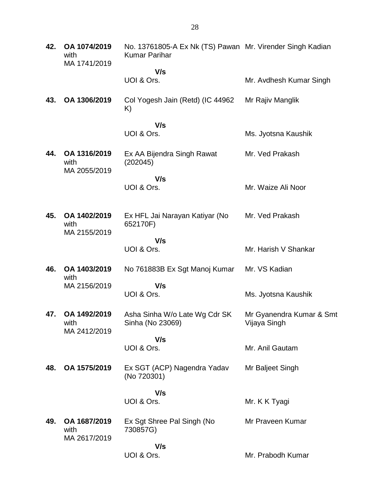| 42. | OA 1074/2019<br>with<br>MA 1741/2019 | No. 13761805-A Ex Nk (TS) Pawan Mr. Virender Singh Kadian<br><b>Kumar Parihar</b> |                                          |
|-----|--------------------------------------|-----------------------------------------------------------------------------------|------------------------------------------|
|     |                                      | V/s<br>UOI & Ors.                                                                 | Mr. Avdhesh Kumar Singh                  |
| 43. | OA 1306/2019                         | Col Yogesh Jain (Retd) (IC 44962<br>K)                                            | Mr Rajiv Manglik                         |
|     |                                      | V/s<br>UOI & Ors.                                                                 | Ms. Jyotsna Kaushik                      |
| 44. | OA 1316/2019<br>with<br>MA 2055/2019 | Ex AA Bijendra Singh Rawat<br>(202045)                                            | Mr. Ved Prakash                          |
|     |                                      | V/s<br>UOI & Ors.                                                                 | Mr. Waize Ali Noor                       |
| 45. | OA 1402/2019<br>with<br>MA 2155/2019 | Ex HFL Jai Narayan Katiyar (No<br>652170F)                                        | Mr. Ved Prakash                          |
|     |                                      | V/s<br>UOI & Ors.                                                                 | Mr. Harish V Shankar                     |
| 46. | OA 1403/2019<br>with<br>MA 2156/2019 | No 761883B Ex Sgt Manoj Kumar                                                     | Mr. VS Kadian                            |
|     |                                      | V/s<br>UOI & Ors.                                                                 | Ms. Jyotsna Kaushik                      |
| 47. | OA 1492/2019<br>with<br>MA 2412/2019 | Asha Sinha W/o Late Wg Cdr SK<br>Sinha (No 23069)                                 | Mr Gyanendra Kumar & Smt<br>Vijaya Singh |
|     |                                      | V/s<br>UOI & Ors.                                                                 | Mr. Anil Gautam                          |
| 48. | OA 1575/2019                         | Ex SGT (ACP) Nagendra Yadav<br>(No 720301)                                        | Mr Baljeet Singh                         |
|     |                                      | V/s<br>UOI & Ors.                                                                 | Mr. K K Tyagi                            |
| 49. | OA 1687/2019<br>with<br>MA 2617/2019 | Ex Sgt Shree Pal Singh (No<br>730857G)                                            | Mr Praveen Kumar                         |
|     |                                      | V/s<br>UOI & Ors.                                                                 | Mr. Prabodh Kumar                        |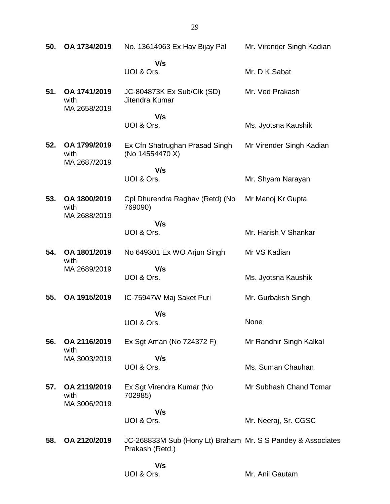| 50. | OA 1734/2019                         | No. 13614963 Ex Hav Bijay Pal                                                  | Mr. Virender Singh Kadian |
|-----|--------------------------------------|--------------------------------------------------------------------------------|---------------------------|
|     |                                      | V/s<br>UOI & Ors.                                                              | Mr. D K Sabat             |
| 51. | OA 1741/2019<br>with<br>MA 2658/2019 | JC-804873K Ex Sub/Clk (SD)<br>Jitendra Kumar                                   | Mr. Ved Prakash           |
|     |                                      | V/s<br>UOI & Ors.                                                              | Ms. Jyotsna Kaushik       |
| 52. | OA 1799/2019<br>with<br>MA 2687/2019 | Ex Cfn Shatrughan Prasad Singh<br>(No 14554470 X)                              | Mr Virender Singh Kadian  |
|     |                                      | V/s<br>UOI & Ors.                                                              | Mr. Shyam Narayan         |
| 53. | OA 1800/2019<br>with<br>MA 2688/2019 | Cpl Dhurendra Raghav (Retd) (No<br>769090)                                     | Mr Manoj Kr Gupta         |
|     |                                      | V/s<br>UOI & Ors.                                                              | Mr. Harish V Shankar      |
| 54. | OA 1801/2019<br>with<br>MA 2689/2019 | No 649301 Ex WO Arjun Singh                                                    | Mr VS Kadian              |
|     |                                      | V/s<br>UOI & Ors.                                                              | Ms. Jyotsna Kaushik       |
| 55. | OA 1915/2019                         | IC-75947W Maj Saket Puri                                                       | Mr. Gurbaksh Singh        |
|     |                                      | V/s<br>UOI & Ors.                                                              | None                      |
| 56. | OA 2116/2019<br>with                 | Ex Sgt Aman (No 724372 F)                                                      | Mr Randhir Singh Kalkal   |
|     | MA 3003/2019                         | V/s<br>UOI & Ors.                                                              | Ms. Suman Chauhan         |
| 57. | OA 2119/2019<br>with<br>MA 3006/2019 | Ex Sgt Virendra Kumar (No<br>702985)                                           | Mr Subhash Chand Tomar    |
|     |                                      | V/s                                                                            |                           |
|     |                                      | UOI & Ors.                                                                     | Mr. Neeraj, Sr. CGSC      |
| 58. | OA 2120/2019                         | JC-268833M Sub (Hony Lt) Braham Mr. S S Pandey & Associates<br>Prakash (Retd.) |                           |
|     |                                      | V/s<br>UOI & Ors.                                                              | Mr. Anil Gautam           |

29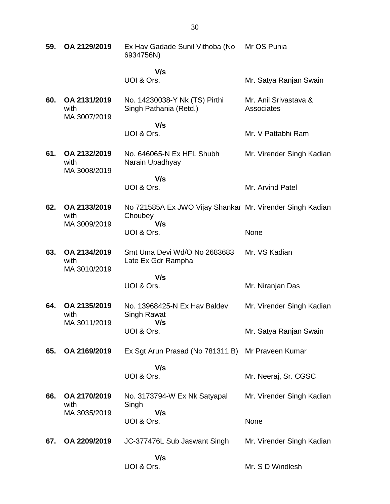| 59. | OA 2129/2019                         | Ex Hav Gadade Sunil Vithoba (No<br>6934756N)                                | Mr OS Punia                         |
|-----|--------------------------------------|-----------------------------------------------------------------------------|-------------------------------------|
|     |                                      | V/s                                                                         |                                     |
|     |                                      | UOI & Ors.                                                                  | Mr. Satya Ranjan Swain              |
| 60. | OA 2131/2019<br>with<br>MA 3007/2019 | No. 14230038-Y Nk (TS) Pirthi<br>Singh Pathania (Retd.)                     | Mr. Anil Srivastava &<br>Associates |
|     |                                      | V/s<br>UOI & Ors.                                                           | Mr. V Pattabhi Ram                  |
| 61. | OA 2132/2019<br>with<br>MA 3008/2019 | No. 646065-N Ex HFL Shubh<br>Narain Upadhyay                                | Mr. Virender Singh Kadian           |
|     |                                      | V/s                                                                         |                                     |
|     |                                      | UOI & Ors.                                                                  | Mr. Arvind Patel                    |
| 62. | OA 2133/2019<br>with<br>MA 3009/2019 | No 721585A Ex JWO Vijay Shankar Mr. Virender Singh Kadian<br>Choubey<br>V/s |                                     |
|     |                                      | UOI & Ors.                                                                  | None                                |
| 63. | OA 2134/2019<br>with<br>MA 3010/2019 | Smt Uma Devi Wd/O No 2683683<br>Late Ex Gdr Rampha                          | Mr. VS Kadian                       |
|     |                                      | V/s                                                                         |                                     |
|     |                                      | UOI & Ors.                                                                  | Mr. Niranjan Das                    |
| 64. | OA 2135/2019<br>with<br>MA 3011/2019 | No. 13968425-N Ex Hay Baldey<br>Singh Rawat                                 | Mr. Virender Singh Kadian           |
|     |                                      | V/s<br>UOI & Ors.                                                           | Mr. Satya Ranjan Swain              |
| 65. | OA 2169/2019                         | Ex Sgt Arun Prasad (No 781311 B)                                            | Mr Praveen Kumar                    |
|     |                                      | V/s<br>UOI & Ors.                                                           | Mr. Neeraj, Sr. CGSC                |
| 66. | OA 2170/2019<br>with<br>MA 3035/2019 | No. 3173794-W Ex Nk Satyapal<br>Singh                                       | Mr. Virender Singh Kadian           |
|     |                                      | V/s<br>UOI & Ors.                                                           | None                                |
| 67. | OA 2209/2019                         | JC-377476L Sub Jaswant Singh                                                | Mr. Virender Singh Kadian           |
|     |                                      | V/s<br>UOI & Ors.                                                           | Mr. S D Windlesh                    |